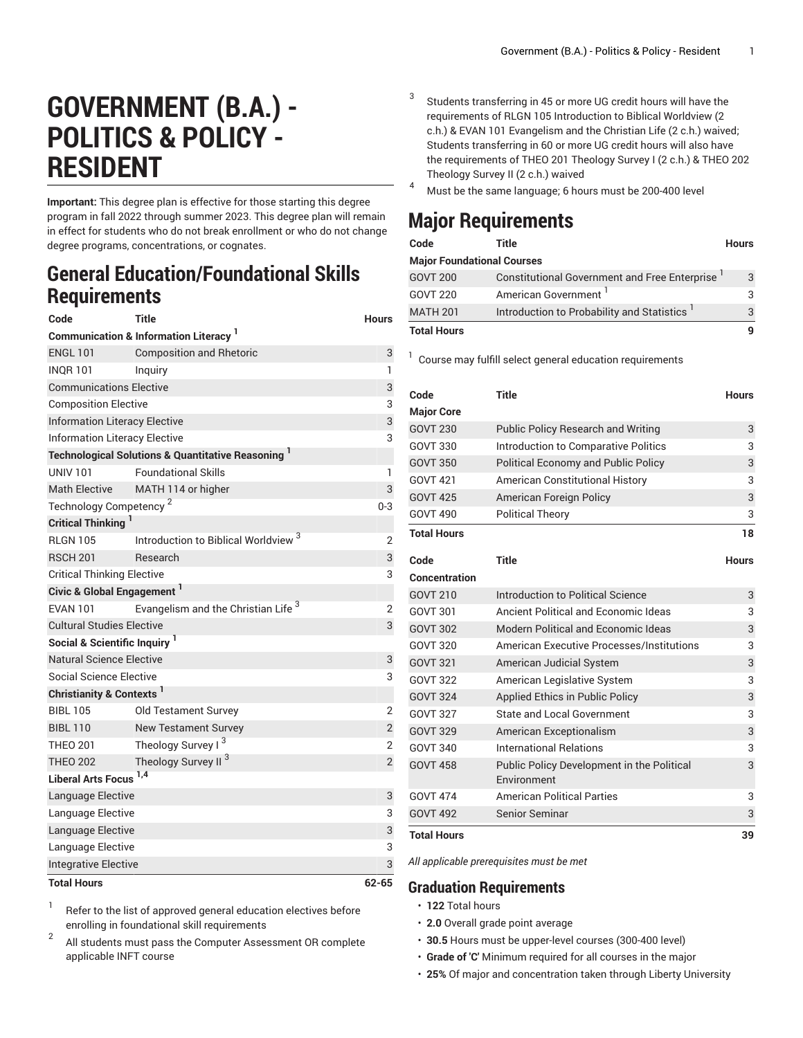## **GOVERNMENT (B.A.) - POLITICS & POLICY - RESIDENT**

**Important:** This degree plan is effective for those starting this degree program in fall 2022 through summer 2023. This degree plan will remain in effect for students who do not break enrollment or who do not change degree programs, concentrations, or cognates.

## **General Education/Foundational Skills Requirements**

| Code                                                         | <b>Title</b>                                                | <b>Hours</b>   |  |  |
|--------------------------------------------------------------|-------------------------------------------------------------|----------------|--|--|
| <b>Communication &amp; Information Literacy</b> <sup>1</sup> |                                                             |                |  |  |
| <b>ENGL 101</b>                                              | <b>Composition and Rhetoric</b>                             | 3              |  |  |
| <b>INOR 101</b>                                              | Inquiry                                                     | 1              |  |  |
| <b>Communications Elective</b>                               |                                                             |                |  |  |
| <b>Composition Elective</b>                                  |                                                             |                |  |  |
| <b>Information Literacy Elective</b>                         |                                                             |                |  |  |
| <b>Information Literacy Elective</b><br>3                    |                                                             |                |  |  |
|                                                              | <b>Technological Solutions &amp; Quantitative Reasoning</b> |                |  |  |
| <b>UNIV 101</b>                                              | <b>Foundational Skills</b>                                  | 1              |  |  |
| <b>Math Elective</b>                                         | MATH 114 or higher                                          | 3              |  |  |
| Technology Competency <sup>2</sup><br>$0 - 3$                |                                                             |                |  |  |
| <b>Critical Thinking</b> <sup>1</sup>                        |                                                             |                |  |  |
| <b>RLGN 105</b>                                              | Introduction to Biblical Worldview <sup>3</sup>             | 2              |  |  |
| <b>RSCH 201</b>                                              | Research                                                    | 3              |  |  |
| <b>Critical Thinking Elective</b><br>3                       |                                                             |                |  |  |
| Civic & Global Engagement <sup>1</sup>                       |                                                             |                |  |  |
| <b>EVAN 101</b>                                              | Evangelism and the Christian Life <sup>3</sup>              | $\overline{2}$ |  |  |
| <b>Cultural Studies Elective</b><br>3                        |                                                             |                |  |  |
| Social & Scientific Inquiry <sup>1</sup>                     |                                                             |                |  |  |
| Natural Science Elective<br>3                                |                                                             |                |  |  |
| Social Science Elective<br>3                                 |                                                             |                |  |  |
| <b>Christianity &amp; Contexts</b>                           |                                                             |                |  |  |
| <b>BIBL 105</b>                                              | Old Testament Survey                                        | $\overline{2}$ |  |  |
| <b>BIBL 110</b>                                              | <b>New Testament Survey</b>                                 | $\mathbf{2}$   |  |  |
| <b>THEO 201</b>                                              | Theology Survey I <sup>3</sup>                              | $\overline{2}$ |  |  |
| <b>THEO 202</b>                                              | Theology Survey II <sup>3</sup>                             | $\overline{c}$ |  |  |
| Liberal Arts Focus <sup>1,4</sup>                            |                                                             |                |  |  |
| Language Elective                                            |                                                             | 3              |  |  |
| Language Elective                                            |                                                             | 3              |  |  |
| Language Elective                                            |                                                             |                |  |  |
| Language Elective                                            |                                                             |                |  |  |
| Integrative Elective                                         |                                                             |                |  |  |
| <b>Total Hours</b>                                           |                                                             | 62-65          |  |  |

1 Refer to the list of approved general [education](https://www.liberty.edu/gened/) electives before enrolling in foundational skill requirements

2 All students must pass the [Computer Assessment](https://www.liberty.edu/computerassessment/) OR complete applicable INFT course

- Students transferring in 45 or more UG credit hours will have the requirements of RLGN 105 Introduction to Biblical Worldview (2 c.h.) & EVAN 101 Evangelism and the Christian Life (2 c.h.) waived; Students transferring in 60 or more UG credit hours will also have the requirements of THEO 201 Theology Survey I (2 c.h.) & THEO 202 Theology Survey II (2 c.h.) waived
- <sup>4</sup> Must be the same language; <sup>6</sup> hours must be 200-400 level

## **Major Requirements**

3

| Code                              | Title                                                | <b>Hours</b> |
|-----------------------------------|------------------------------------------------------|--------------|
| <b>Major Foundational Courses</b> |                                                      |              |
| <b>GOVT 200</b>                   | <b>Constitutional Government and Free Enterprise</b> | 3            |
| GOVT 220                          | American Government                                  | 3            |
| <b>MATH 201</b>                   | Introduction to Probability and Statistics           | 3            |
| <b>Total Hours</b>                |                                                      |              |

<sup>1</sup> Course may fulfill select general education [requirements](http://www.liberty.edu/academics/generalstudies/?PID=37563)

| Code                 | <b>Title</b>                                              | <b>Hours</b> |
|----------------------|-----------------------------------------------------------|--------------|
| <b>Major Core</b>    |                                                           |              |
| <b>GOVT 230</b>      | <b>Public Policy Research and Writing</b>                 | 3            |
| <b>GOVT 330</b>      | Introduction to Comparative Politics                      | 3            |
| <b>GOVT 350</b>      | <b>Political Economy and Public Policy</b>                | 3            |
| <b>GOVT 421</b>      | <b>American Constitutional History</b>                    | 3            |
| <b>GOVT 425</b>      | American Foreign Policy                                   | 3            |
| <b>GOVT 490</b>      | <b>Political Theory</b>                                   | 3            |
| <b>Total Hours</b>   |                                                           | 18           |
| Code                 | <b>Title</b>                                              | <b>Hours</b> |
| <b>Concentration</b> |                                                           |              |
| <b>GOVT 210</b>      | Introduction to Political Science                         | 3            |
| <b>GOVT 301</b>      | Ancient Political and Economic Ideas                      | 3            |
| <b>GOVT 302</b>      | Modern Political and Economic Ideas                       | 3            |
| <b>GOVT 320</b>      | <b>American Executive Processes/Institutions</b>          | 3            |
| <b>GOVT 321</b>      | American Judicial System                                  | 3            |
| <b>GOVT 322</b>      | American Legislative System                               | 3            |
| <b>GOVT 324</b>      | Applied Ethics in Public Policy                           | 3            |
| <b>GOVT 327</b>      | <b>State and Local Government</b>                         | 3            |
| <b>GOVT 329</b>      | American Exceptionalism                                   | 3            |
| <b>GOVT 340</b>      | <b>International Relations</b>                            | 3            |
| <b>GOVT 458</b>      | Public Policy Development in the Political<br>Environment | 3            |
| <b>GOVT 474</b>      | <b>American Political Parties</b>                         | 3            |
| <b>GOVT 492</b>      | <b>Senior Seminar</b>                                     | 3            |
| <b>Total Hours</b>   |                                                           | 39           |

*All applicable prerequisites must be met*

## **Graduation Requirements**

- **122** Total hours
- **2.0** Overall grade point average
- **30.5** Hours must be upper-level courses (300-400 level)
- **Grade of 'C'** Minimum required for all courses in the major
- **25%** Of major and concentration taken through Liberty University